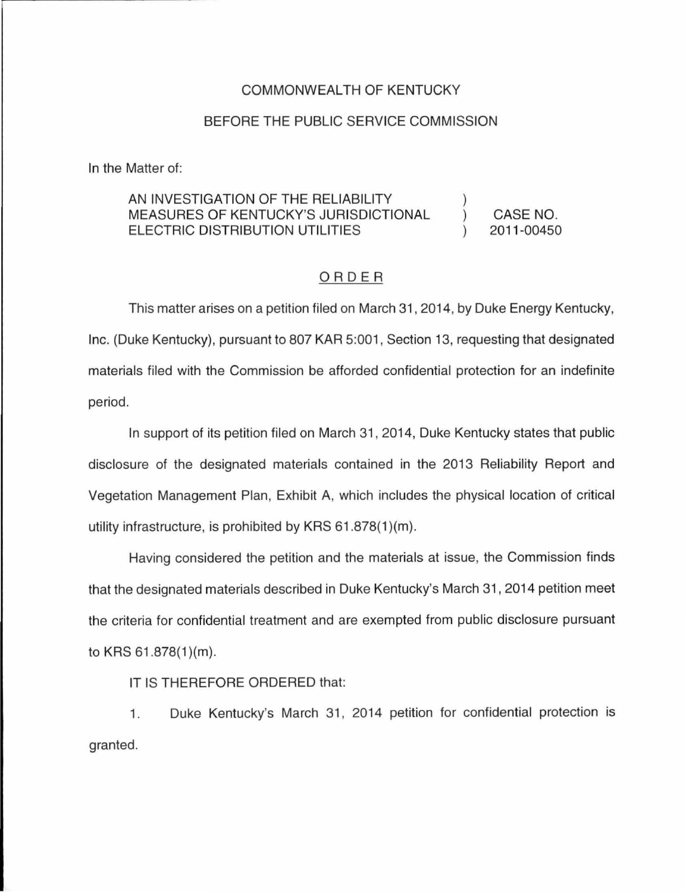## COMMONWEALTH OF KENTUCKY

## BEFORE THE PUBLIC SERVICE COMMISSION

In the Matter of:

## AN INVESTIGATION OF THE RELIABILITY MEASURES OF KENTUCKY'S JURISDICTIONAL  $\mathcal{C}$ ELECTRIC DISTRIBUTION UTILITIES

CASE NO. 2011-00450

## ORDER

This matter arises on a petition filed on March 31, 2014, by Duke Energy Kentucky, Inc. (Duke Kentucky), pursuant to 807 KAR 5:001, Section 13, requesting that designated materials filed with the Commission be afforded confidential protection for an indefinite period.

In support of its petition filed on March 31 , 2014, Duke Kentucky states that public disclosure of the designated materials contained in the 2013 Reliability Report and Vegetation Management Plan, Exhibit A, which includes the physical location of critical utility infrastructure, is prohibited by KRS  $61.878(1)(m)$ .

Having considered the petition and the materials at issue, the Commission finds that the designated materials described in Duke Kentucky's March 31 , 2014 petition meet the criteria for confidential treatment and are exempted from public disclosure pursuant to KRS 61 .878(1 )(m).

IT IS THEREFORE ORDERED that:

1. Duke Kentucky's March 31, 2014 petition for confidential protection is granted.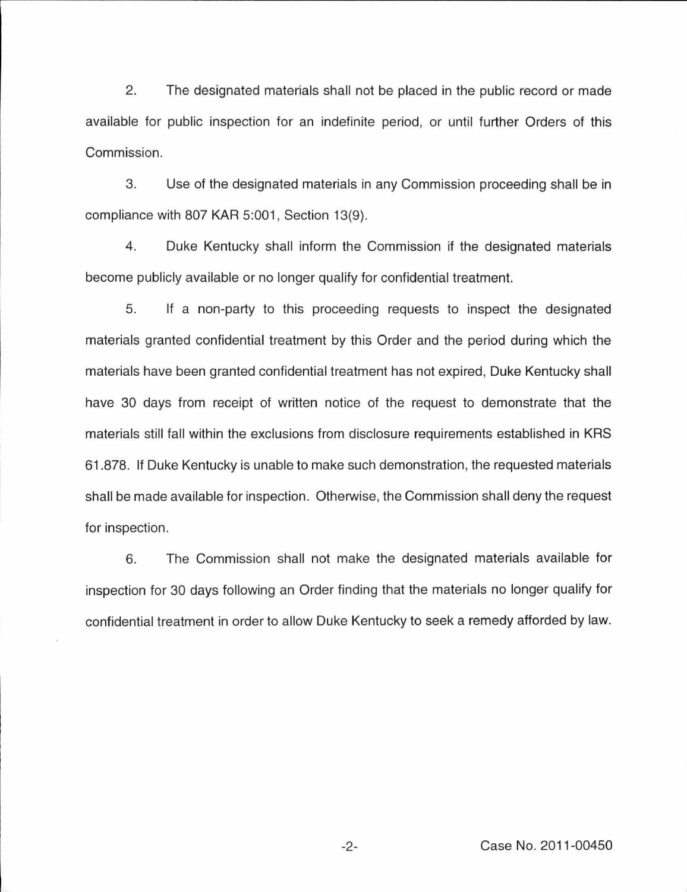2. The designated materials shall not be placed in the public record or made available for public inspection for an indefinite period, or until further Orders of this Commission.

3. Use of the designated materials in any Commission proceeding shall be in compliance with 807 KAR 5:001, Section 13(9).

4. Duke Kentucky shall inform the Commission if the designated materials become publicly available or no longer qualify for confidential treatment.

5. If a non-party to this proceeding requests to inspect the designated materials granted confidential treatment by this Order and the period during which the materials have been granted confidential treatment has not expired, Duke Kentucky shall have 30 days from receipt of written notice of the request to demonstrate that the materials still fall within the exclusions from disclosure requirements established in KRS 61.878. If Duke Kentucky is unable to make such demonstration, the requested materials shall be made available for inspection. Otherwise, the Commission shall deny the request for inspection.

6. The Commission shall not make the designated materials available for inspection for 30 days following an Order finding that the materials no longer qualify for confidential treatment in order to allow Duke Kentucky to seek a remedy afforded by law.

-2- Case No. 201 1-00450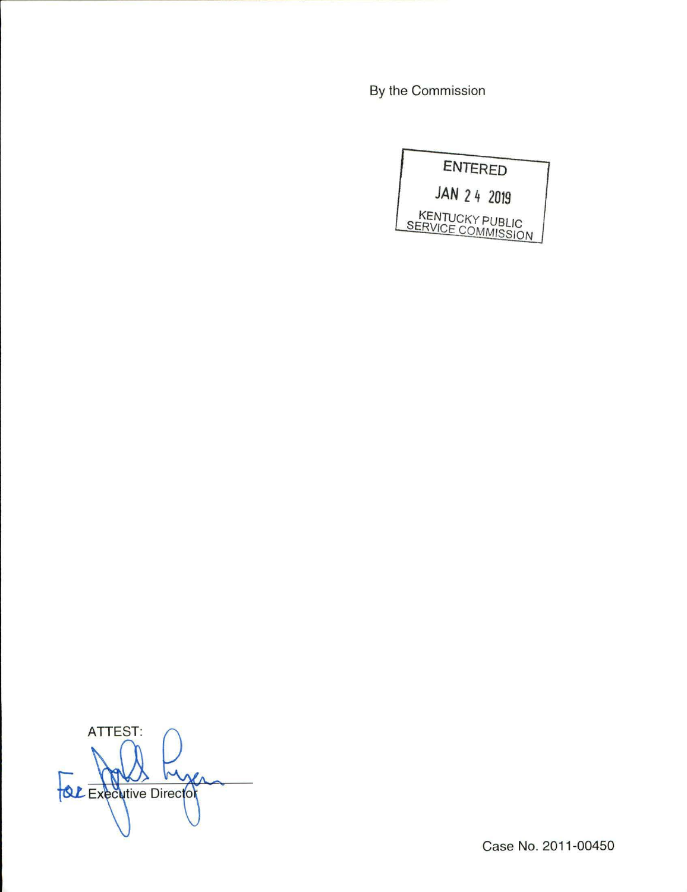By the Commission



**ATTEST:** ١r **BL** Executive Director

Case No. 2011-00450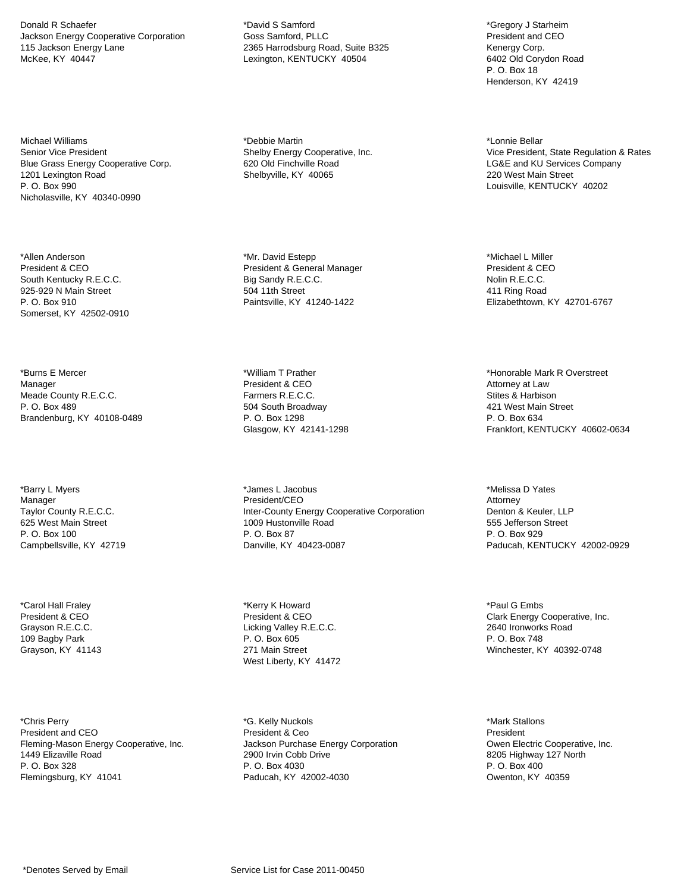Donald R Schaefer Jackson Energy Cooperative Corporation 115 Jackson Energy Lane McKee, KY 40447

Michael Williams Senior Vice President Blue Grass Energy Cooperative Corp. 1201 Lexington Road P. O. Box 990 Nicholasville, KY 40340-0990

\*Allen Anderson President & CEO South Kentucky R.E.C.C. 925-929 N Main Street P. O. Box 910 Somerset, KY 42502-0910

\*Burns E Mercer Manager Meade County R.E.C.C. P. O. Box 489 Brandenburg, KY 40108-0489

\*Barry L Myers **Manager** Taylor County R.E.C.C. 625 West Main Street P. O. Box 100 Campbellsville, KY 42719

\*Carol Hall Fraley President & CEO Grayson R.E.C.C. 109 Bagby Park Grayson, KY 41143

\*Chris Perry President and CEO Fleming-Mason Energy Cooperative, Inc. 1449 Elizaville Road P. O. Box 328 Flemingsburg, KY 41041

\*David S Samford Goss Samford, PLLC 2365 Harrodsburg Road, Suite B325 Lexington, KENTUCKY 40504

\*Debbie Martin Shelby Energy Cooperative, Inc. 620 Old Finchville Road Shelbyville, KY 40065

\*Mr. David Estepp President & General Manager Big Sandy R.E.C.C. 504 11th Street Paintsville, KY 41240-1422

\*William T Prather President & CEO Farmers R.E.C.C. 504 South Broadway P. O. Box 1298 Glasgow, KY 42141-1298

\*James L Jacobus President/CEO Inter-County Energy Cooperative Corporation 1009 Hustonville Road P. O. Box 87 Danville, KY 40423-0087

\*Kerry K Howard President & CEO Licking Valley R.E.C.C. P. O. Box 605 271 Main Street West Liberty, KY 41472

\*G. Kelly Nuckols President & Ceo Jackson Purchase Energy Corporation 2900 Irvin Cobb Drive P. O. Box 4030 Paducah, KY 42002-4030

\*Gregory J Starheim President and CEO Kenergy Corp. 6402 Old Corydon Road P. O. Box 18 Henderson, KY 42419

\*Lonnie Bellar Vice President, State Regulation & Rates LG&E and KU Services Company 220 West Main Street Louisville, KENTUCKY 40202

\*Michael L Miller President & CEO Nolin R.E.C.C. 411 Ring Road Elizabethtown, KY 42701-6767

\*Honorable Mark R Overstreet Attorney at Law Stites & Harbison 421 West Main Street P. O. Box 634 Frankfort, KENTUCKY 40602-0634

\*Melissa D Yates Attorney Denton & Keuler, LLP 555 Jefferson Street P. O. Box 929 Paducah, KENTUCKY 42002-0929

\*Paul G Embs Clark Energy Cooperative, Inc. 2640 Ironworks Road P. O. Box 748 Winchester, KY 40392-0748

\*Mark Stallons President Owen Electric Cooperative, Inc. 8205 Highway 127 North P. O. Box 400 Owenton, KY 40359